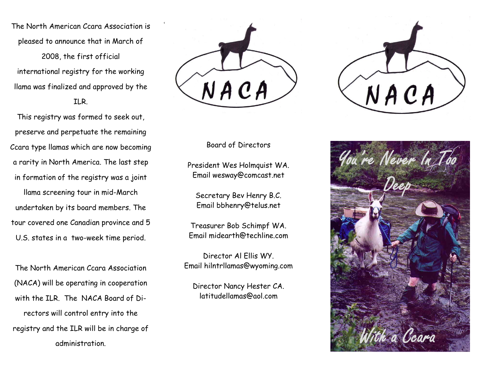The North American Ccara Association is pleased to announce that in March of 2008, the first official international registry for the working llama was finalized and approved by the ILR.

This registry was formed to seek out, preserve and perpetuate the remaining Ccara type llamas which are now becoming a rarity in North America. The last step in formation of the registry was a joint llama screening tour in mid-March undertaken by its board members. The tour covered one Canadian province and 5

U.S. states in a two-week time period.

The North American Ccara Association (NACA) will be operating in cooperation with the ILR. The NACA Board of Directors will control entry into the registry and the ILR will be in charge of administration.



## Board of Directors

President Wes Holmquist WA. Email wesway@comcast.net

Secretary Bev Henry B.C. Email bbhenry@telus.net

Treasurer Bob Schimpf WA. Email midearth@techline.com

Director Al Ellis WY. Email hilntrllamas@wyoming.com

Director Nancy Hester CA. latitudellamas@aol.com